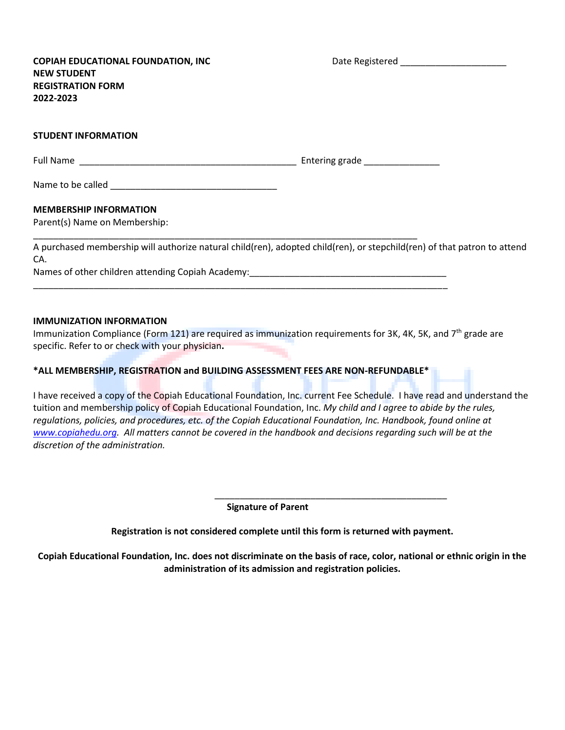**COPIAH EDUCATIONAL FOUNDATION, INC THE REGISTER DATE REGISTER OF A LIGACION COPIAH EDUCATIONAL FOUNDATION, INC NEW STUDENT REGISTRATION FORM 2022-2023**

## **STUDENT INFORMATION**

| <b>Full Name</b> | Entering grade |
|------------------|----------------|
|------------------|----------------|

\_\_\_\_\_\_\_\_\_\_\_\_\_\_\_\_\_\_\_\_\_\_\_\_\_\_\_\_\_\_\_\_\_\_\_\_\_\_\_\_\_\_\_\_\_\_\_\_\_\_\_\_\_\_\_\_\_\_\_\_\_\_\_\_\_\_\_\_\_\_\_\_\_\_\_\_

\_\_\_\_\_\_\_\_\_\_\_\_\_\_\_\_\_\_\_\_\_\_\_\_\_\_\_\_\_\_\_\_\_\_\_\_\_\_\_\_\_\_\_\_\_\_\_\_\_\_\_\_\_\_\_\_\_\_\_\_\_\_\_\_\_\_\_\_\_\_\_\_\_\_\_\_\_\_\_\_\_\_

Name to be called **Name** 

## **MEMBERSHIP INFORMATION**

Parent(s) Name on Membership:

A purchased membership will authorize natural child(ren), adopted child(ren), or stepchild(ren) of that patron to attend CA.

Names of other children attending Copiah Academy: \_\_\_\_\_\_\_\_\_\_\_\_\_\_\_\_\_\_\_\_\_\_\_\_\_\_\_\_\_\_

## **IMMUNIZATION INFORMATION**

Immunization Compliance (Form 121) are required as immunization requirements for 3K, 4K, 5K, and 7<sup>th</sup> grade are specific. Refer to or check with your physician**.**

## **\*ALL MEMBERSHIP, REGISTRATION and BUILDING ASSESSMENT FEES ARE NON-REFUNDABLE\***

I have received a copy of the Copiah Educational Foundation, Inc. current Fee Schedule. I have read and understand the tuition and membership policy of Copiah Educational Foundation, Inc. *My child and I agree to abide by the rules, regulations, policies, and procedures, etc. of the Copiah Educational Foundation, Inc. Handbook, found online at [www.copiahedu.org.](http://www.copiahedu.org/) All matters cannot be covered in the handbook and decisions regarding such will be at the discretion of the administration.*

**Signature of Parent**

 $\overline{\phantom{a}}$  ,  $\overline{\phantom{a}}$  ,  $\overline{\phantom{a}}$  ,  $\overline{\phantom{a}}$  ,  $\overline{\phantom{a}}$  ,  $\overline{\phantom{a}}$  ,  $\overline{\phantom{a}}$  ,  $\overline{\phantom{a}}$  ,  $\overline{\phantom{a}}$  ,  $\overline{\phantom{a}}$  ,  $\overline{\phantom{a}}$  ,  $\overline{\phantom{a}}$  ,  $\overline{\phantom{a}}$  ,  $\overline{\phantom{a}}$  ,  $\overline{\phantom{a}}$  ,  $\overline{\phantom{a}}$ 

**Registration is not considered complete until this form is returned with payment.**

**Copiah Educational Foundation, Inc. does not discriminate on the basis of race, color, national or ethnic origin in the administration of its admission and registration policies.**